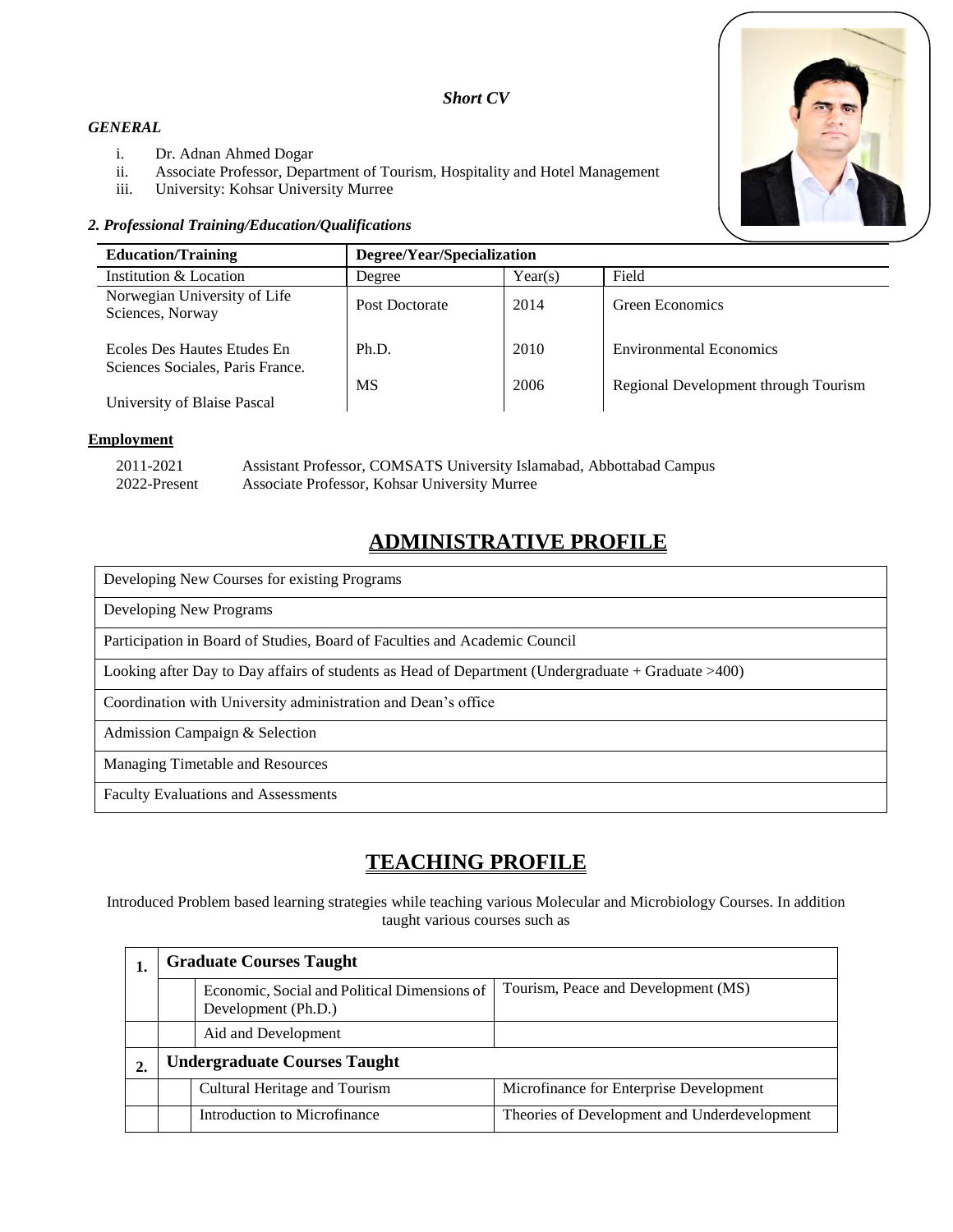### *Short CV*

### *GENERAL*

- i. Dr. Adnan Ahmed Dogar
- ii. Associate Professor, Department of Tourism, Hospitality and Hotel Management
- iii. University: Kohsar University Murree

### *2. Professional Training/Education/Qualifications*



| <b>Education/Training</b>                                       | Degree/Year/Specialization |         |                                      |
|-----------------------------------------------------------------|----------------------------|---------|--------------------------------------|
| Institution & Location                                          | Degree                     | Year(s) | Field                                |
| Norwegian University of Life<br>Sciences, Norway                | Post Doctorate             | 2014    | Green Economics                      |
| Ecoles Des Hautes Etudes En<br>Sciences Sociales, Paris France. | Ph.D.                      | 2010    | <b>Environmental Economics</b>       |
| University of Blaise Pascal                                     | МS                         | 2006    | Regional Development through Tourism |

#### **Employment**

| 2011-2021    | Assistant Professor, COMSATS University Islamabad, Abbottabad Campus |
|--------------|----------------------------------------------------------------------|
| 2022-Present | Associate Professor, Kohsar University Murree                        |

# **ADMINISTRATIVE PROFILE**

| Developing New Courses for existing Programs                                                            |
|---------------------------------------------------------------------------------------------------------|
| Developing New Programs                                                                                 |
| Participation in Board of Studies, Board of Faculties and Academic Council                              |
| Looking after Day to Day affairs of students as Head of Department (Undergraduate $+$ Graduate $>400$ ) |
| Coordination with University administration and Dean's office                                           |
| Admission Campaign & Selection                                                                          |
| Managing Timetable and Resources                                                                        |
| <b>Faculty Evaluations and Assessments</b>                                                              |

# **TEACHING PROFILE**

Introduced Problem based learning strategies while teaching various Molecular and Microbiology Courses. In addition taught various courses such as

|    | <b>Graduate Courses Taught</b>      |                                                                     |                                              |  |  |
|----|-------------------------------------|---------------------------------------------------------------------|----------------------------------------------|--|--|
|    |                                     | Economic, Social and Political Dimensions of<br>Development (Ph.D.) | Tourism, Peace and Development (MS)          |  |  |
|    |                                     | Aid and Development                                                 |                                              |  |  |
| 2. | <b>Undergraduate Courses Taught</b> |                                                                     |                                              |  |  |
|    |                                     | Cultural Heritage and Tourism                                       | Microfinance for Enterprise Development      |  |  |
|    |                                     | Introduction to Microfinance                                        | Theories of Development and Underdevelopment |  |  |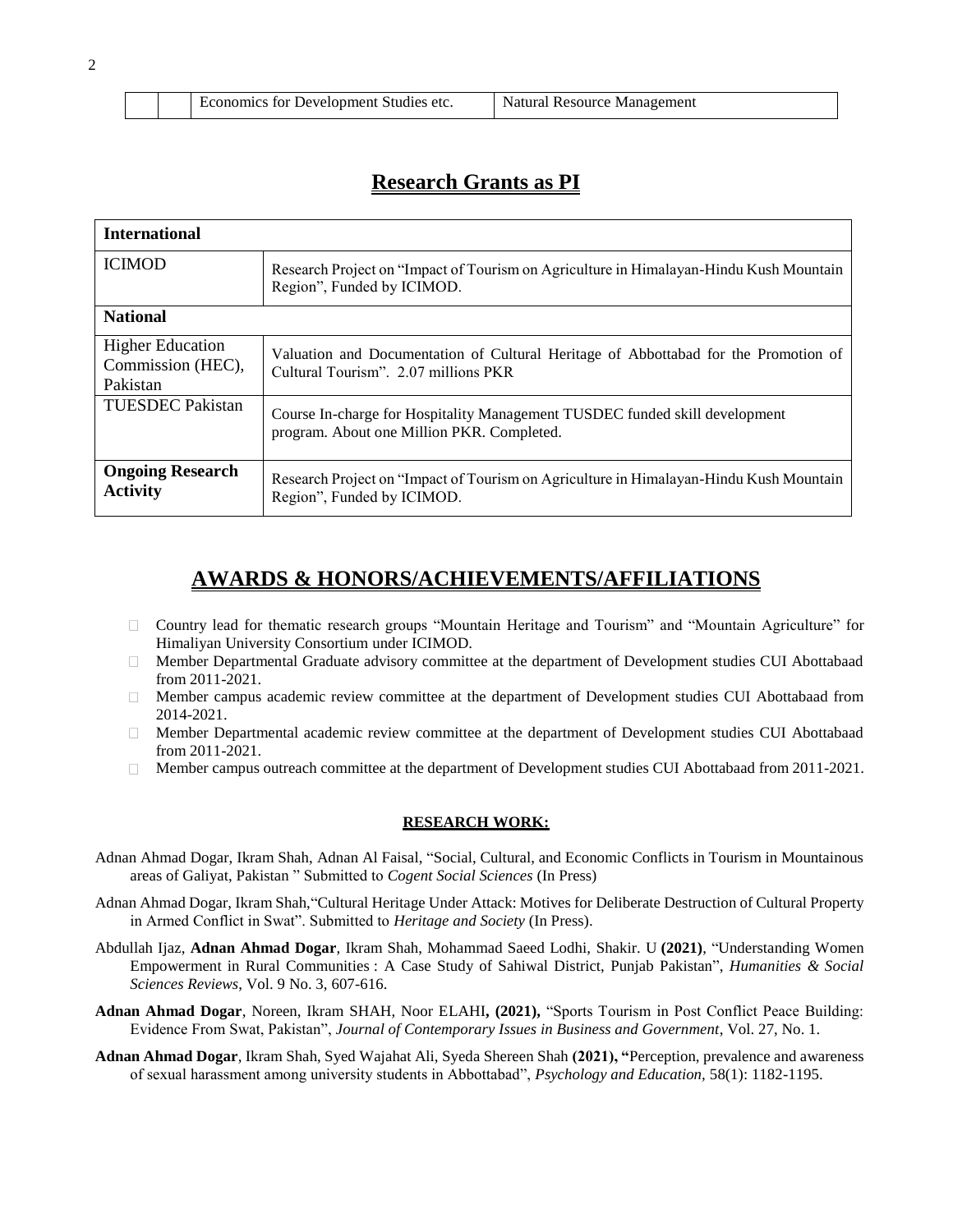|  |  | Economics for Development Studies etc. | Natural Resource Management |
|--|--|----------------------------------------|-----------------------------|
|--|--|----------------------------------------|-----------------------------|

## **Research Grants as PI**

| <b>International</b>                                     |                                                                                                                             |  |  |
|----------------------------------------------------------|-----------------------------------------------------------------------------------------------------------------------------|--|--|
| <b>ICIMOD</b>                                            | Research Project on "Impact of Tourism on Agriculture in Himalayan-Hindu Kush Mountain<br>Region", Funded by ICIMOD.        |  |  |
| <b>National</b>                                          |                                                                                                                             |  |  |
| <b>Higher Education</b><br>Commission (HEC),<br>Pakistan | Valuation and Documentation of Cultural Heritage of Abbottabad for the Promotion of<br>Cultural Tourism". 2.07 millions PKR |  |  |
| <b>TUESDEC</b> Pakistan                                  | Course In-charge for Hospitality Management TUSDEC funded skill development<br>program. About one Million PKR. Completed.   |  |  |
| <b>Ongoing Research</b><br><b>Activity</b>               | Research Project on "Impact of Tourism on Agriculture in Himalayan-Hindu Kush Mountain<br>Region", Funded by ICIMOD.        |  |  |

## **AWARDS & HONORS/ACHIEVEMENTS/AFFILIATIONS**

- Country lead for thematic research groups "Mountain Heritage and Tourism" and "Mountain Agriculture" for  $\Box$ Himaliyan University Consortium under ICIMOD.
- Member Departmental Graduate advisory committee at the department of Development studies CUI Abottabaad  $\Box$ from 2011-2021.
- Member campus academic review committee at the department of Development studies CUI Abottabaad from  $\Box$ 2014-2021.
- Member Departmental academic review committee at the department of Development studies CUI Abottabaad from 2011-2021.
- Member campus outreach committee at the department of Development studies CUI Abottabaad from 2011-2021.  $\Box$

#### **RESEARCH WORK:**

- Adnan Ahmad Dogar, Ikram Shah, Adnan Al Faisal, "Social, Cultural, and Economic Conflicts in Tourism in Mountainous areas of Galiyat, Pakistan " Submitted to *Cogent Social Sciences* (In Press)
- Adnan Ahmad Dogar, Ikram Shah,"Cultural Heritage Under Attack: Motives for Deliberate Destruction of Cultural Property in Armed Conflict in Swat". Submitted to *Heritage and Society* (In Press).
- Abdullah Ijaz, **[Adnan Ahmad Dogar](https://www.cuiatd.edu.pk/faculty-profile/MemberDetails.aspx?memberID=69)**, Ikram Shah, Mohammad Saeed Lodhi, [Shakir. U](https://www.cuiatd.edu.pk/faculty-profile/MemberDetails.aspx?memberID=650) **(2021)**, "Understanding Women Empowerment in Rural Communities : A Case Study of Sahiwal District, Punjab Pakistan", *Humanities & Social Sciences Reviews*, Vol. 9 No. 3, 607-616.
- **Adnan Ahmad Dogar**, Noreen, Ikram SHAH, Noor ELAHI**, (2021),** "Sports Tourism in Post Conflict Peace Building: Evidence From Swat, Pakistan", *Journal of Contemporary Issues in Business and Government*, Vol. 27, No. 1.
- **Adnan Ahmad Dogar**, Ikram Shah, Syed Wajahat Ali, Syeda Shereen Shah **(2021), "**Perception, prevalence and awareness of sexual harassment among university students in Abbottabad", *Psychology and Education,* 58(1): 1182-1195.